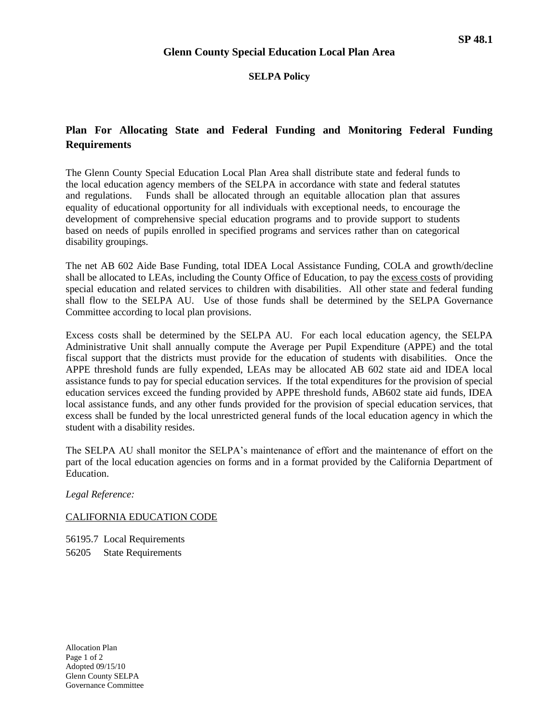#### **SELPA Policy**

# **Plan For Allocating State and Federal Funding and Monitoring Federal Funding Requirements**

The Glenn County Special Education Local Plan Area shall distribute state and federal funds to the local education agency members of the SELPA in accordance with state and federal statutes and regulations. Funds shall be allocated through an equitable allocation plan that assures equality of educational opportunity for all individuals with exceptional needs, to encourage the development of comprehensive special education programs and to provide support to students based on needs of pupils enrolled in specified programs and services rather than on categorical disability groupings.

The net AB 602 Aide Base Funding, total IDEA Local Assistance Funding, COLA and growth/decline shall be allocated to LEAs, including the County Office of Education, to pay the excess costs of providing special education and related services to children with disabilities. All other state and federal funding shall flow to the SELPA AU. Use of those funds shall be determined by the SELPA Governance Committee according to local plan provisions.

Excess costs shall be determined by the SELPA AU. For each local education agency, the SELPA Administrative Unit shall annually compute the Average per Pupil Expenditure (APPE) and the total fiscal support that the districts must provide for the education of students with disabilities. Once the APPE threshold funds are fully expended, LEAs may be allocated AB 602 state aid and IDEA local assistance funds to pay for special education services. If the total expenditures for the provision of special education services exceed the funding provided by APPE threshold funds, AB602 state aid funds, IDEA local assistance funds, and any other funds provided for the provision of special education services, that excess shall be funded by the local unrestricted general funds of the local education agency in which the student with a disability resides.

The SELPA AU shall monitor the SELPA's maintenance of effort and the maintenance of effort on the part of the local education agencies on forms and in a format provided by the California Department of Education.

*Legal Reference:*

### CALIFORNIA EDUCATION CODE

56195.7 Local Requirements 56205 State Requirements

Allocation Plan Page 1 of 2 Adopted 09/15/10 Glenn County SELPA Governance Committee